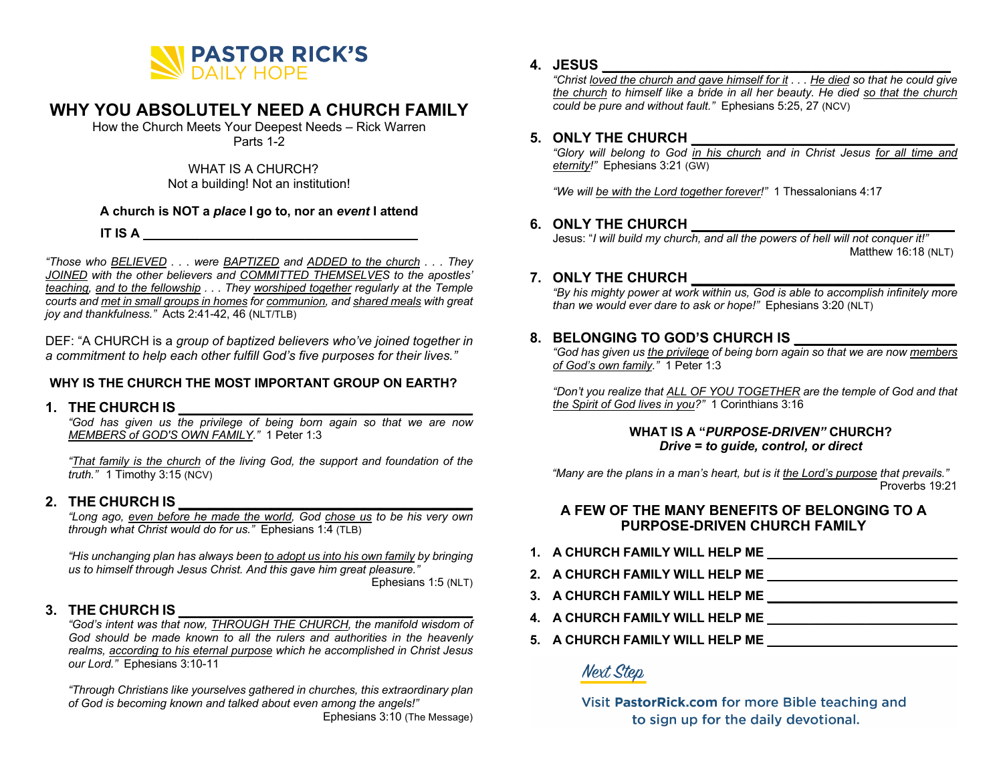

# **WHY YOU ABSOLUTELY NEED A CHURCH FAMILY**

How the Church Meets Your Deepest Needs – Rick Warren Parts 1-2

> WHAT IS A CHURCH? Not a building! Not an institution!

## **A church is NOT a** *place* **I go to, nor an** *event* **I attend**

**IT IS A \_\_\_\_\_\_\_\_\_\_\_\_\_\_\_\_\_\_\_\_\_\_\_\_\_\_\_\_\_\_\_\_\_\_\_\_\_\_\_**

*"Those who BELIEVED . . . were BAPTIZED and ADDED to the church . . . They JOINED with the other believers and COMMITTED THEMSELVES to the apostles' teaching, and to the fellowship . . . They worshiped together regularly at the Temple courts and met in small groups in homes for communion, and shared meals with great joy and thankfulness."* Acts 2:41-42, 46 (NLT/TLB)

DEF: "A CHURCH is a *group of baptized believers who've joined together in a commitment to help each other fulfill God's five purposes for their lives."*

## **WHY IS THE CHURCH THE MOST IMPORTANT GROUP ON EARTH?**

## **1. THE CHURCH IS \_\_\_\_\_\_\_\_\_\_\_\_\_\_\_\_\_\_\_\_\_\_\_\_\_\_\_\_\_\_\_\_\_\_\_\_\_\_**

*"God has given us the privilege of being born again so that we are now MEMBERS of GOD'S OWN FAMILY."* 1 Peter 1:3

*"That family is the church of the living God, the support and foundation of the truth."* 1 Timothy 3:15 (NCV)

## **2. THE CHURCH IS \_\_\_\_\_\_\_\_\_\_\_\_\_\_\_\_\_\_\_\_\_\_\_\_\_\_\_\_\_\_\_\_\_\_\_\_\_\_**

*"Long ago, even before he made the world, God chose us to be his very own through what Christ would do for us."* Ephesians 1:4 (TLB)

*"His unchanging plan has always been to adopt us into his own family by bringing us to himself through Jesus Christ. And this gave him great pleasure."*

Ephesians 1:5 (NLT)

## **3. THE CHURCH IS \_\_\_\_\_\_\_\_\_\_\_\_\_\_\_\_\_\_\_\_\_\_\_\_\_\_\_\_\_\_\_\_\_\_\_\_\_\_**

*"God's intent was that now, THROUGH THE CHURCH, the manifold wisdom of God should be made known to all the rulers and authorities in the heavenly realms, according to his eternal purpose which he accomplished in Christ Jesus our Lord."* Ephesians 3:10-11

*"Through Christians like yourselves gathered in churches, this extraordinary plan of God is becoming known and talked about even among the angels!"* Ephesians 3:10 (The Message)

## **4. JESUS \_\_\_\_\_\_\_\_\_\_\_\_\_\_\_\_\_\_\_\_\_\_\_\_\_\_\_\_\_\_\_\_\_\_\_\_\_\_\_\_\_\_\_\_\_**

*"Christ loved the church and gave himself for it . . . He died so that he could give the church to himself like a bride in all her beauty. He died so that the church could be pure and without fault."* Ephesians 5:25, 27 (NCV)

## **5. ONLY THE CHURCH \_\_\_\_\_\_\_\_\_\_\_\_\_\_\_\_\_\_\_\_\_\_\_\_\_\_\_\_\_\_\_\_\_\_**

*"Glory will belong to God in his church and in Christ Jesus for all time and eternity!"* Ephesians 3:21 (GW)

*"We will be with the Lord together forever!"* 1 Thessalonians 4:17

## **6. ONLY THE CHURCH \_\_\_\_\_\_\_\_\_\_\_\_\_\_\_\_\_\_\_\_\_\_\_\_\_\_\_\_\_\_\_\_\_\_**

Jesus: "*I will build my church, and all the powers of hell will not conquer it!"* Matthew 16:18 (NLT)

## **7. ONLY THE CHURCH \_\_\_\_\_\_\_\_\_\_\_\_\_\_\_\_\_\_\_\_\_\_\_\_\_\_\_\_\_\_\_\_\_\_**

*"By his mighty power at work within us, God is able to accomplish infinitely more than we would ever dare to ask or hope!"* Ephesians 3:20 (NLT)

## **8. BELONGING TO GOD'S CHURCH IS \_\_\_\_\_\_\_\_\_\_\_\_\_\_\_\_\_\_\_\_\_**

*"God has given us the privilege of being born again so that we are now members of God's own family."* 1 Peter 1:3

*"Don't you realize that ALL OF YOU TOGETHER are the temple of God and that the Spirit of God lives in you?"* 1 Corinthians 3:16

#### **WHAT IS A "***PURPOSE-DRIVEN"* **CHURCH?** *Drive = to guide, control, or direct*

 *"Many are the plans in a man's heart, but is it the Lord's purpose that prevails."* Proverbs 19:21

## **A FEW OF THE MANY BENEFITS OF BELONGING TO A PURPOSE-DRIVEN CHURCH FAMILY**

- **1. A CHURCH FAMILY WILL HELP ME \_\_\_\_\_\_\_\_\_\_\_\_\_\_\_\_\_\_\_\_\_\_\_\_\_\_\_**
- **2. A CHURCH FAMILY WILL HELP ME \_\_\_\_\_\_\_\_\_\_\_\_\_\_\_\_\_\_\_\_\_\_\_\_\_\_\_**
- **3. A CHURCH FAMILY WILL HELP ME \_\_\_\_\_\_\_\_\_\_\_\_\_\_\_\_\_\_\_\_\_\_\_\_\_\_\_**
- **4. A CHURCH FAMILY WILL HELP ME \_\_\_\_\_\_\_\_\_\_\_\_\_\_\_\_\_\_\_\_\_\_\_\_\_\_\_**
- **5. A CHURCH FAMILY WILL HELP ME \_\_\_\_\_\_\_\_\_\_\_\_\_\_\_\_\_\_\_\_\_\_\_\_\_\_\_**

**Next Step** 

Visit PastorRick.com for more Bible teaching and to sign up for the daily devotional.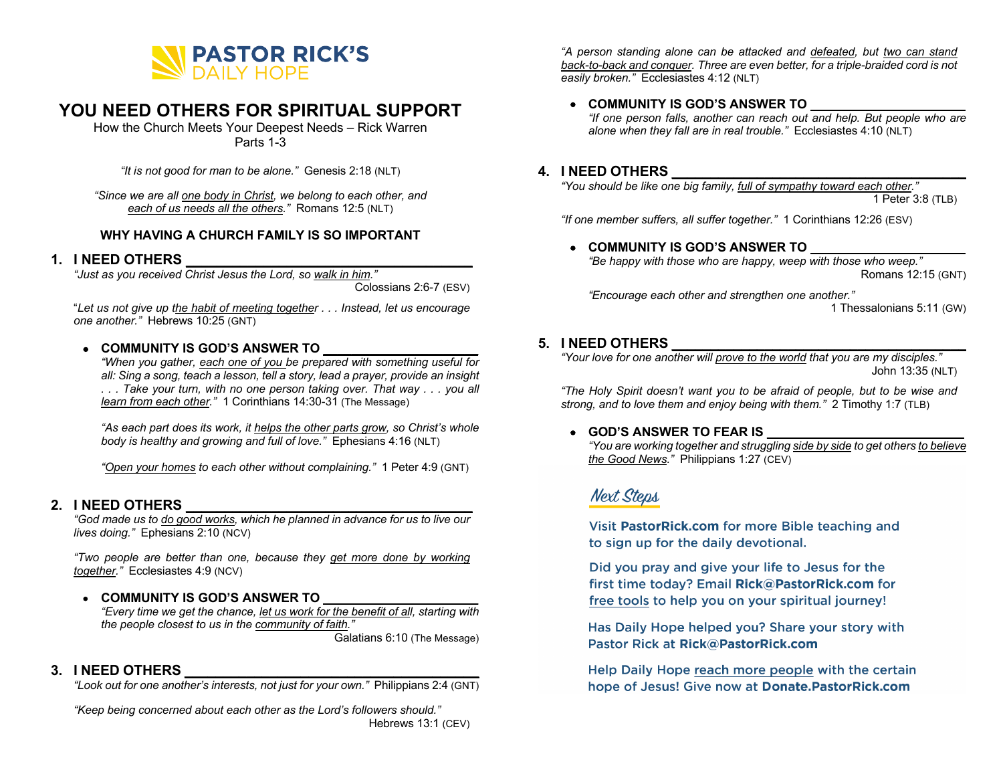

# **YOU NEED OTHERS FOR SPIRITUAL SUPPORT**

How the Church Meets Your Deepest Needs – Rick Warren Parts 1-3

*"It is not good for man to be alone."* Genesis 2:18 (NLT)

*"Since we are all one body in Christ, we belong to each other, and each of us needs all the others."* Romans 12:5 (NLT)

## **WHY HAVING A CHURCH FAMILY IS SO IMPORTANT**

## **1. I NEED OTHERS \_\_\_\_\_\_\_\_\_\_\_\_\_\_\_\_\_\_\_\_\_\_\_\_\_\_\_\_\_\_\_\_\_\_\_\_\_**

*"Just as you received Christ Jesus the Lord, so walk in him."*

Colossians 2:6-7 (ESV)

"*Let us not give up the habit of meeting together . . . Instead, let us encourage one another."* Hebrews 10:25 (GNT)

#### • **COMMUNITY IS GOD'S ANSWER TO \_\_\_\_\_\_\_\_\_\_\_\_\_\_\_\_\_\_\_\_\_\_**

*"When you gather, each one of you be prepared with something useful for all: Sing a song, teach a lesson, tell a story, lead a prayer, provide an insight . . . Take your turn, with no one person taking over. That way . . . you all learn from each other."* 1 Corinthians 14:30-31 (The Message)

*"As each part does its work, it helps the other parts grow, so Christ's whole body is healthy and growing and full of love."* Ephesians 4:16 (NLT)

*"Open your homes to each other without complaining."* 1 Peter 4:9 (GNT)

## **2. I NEED OTHERS \_\_\_\_\_\_\_\_\_\_\_\_\_\_\_\_\_\_\_\_\_\_\_\_\_\_\_\_\_\_\_\_\_\_\_\_\_**

*"God made us to do good works, which he planned in advance for us to live our lives doing."* Ephesians 2:10 (NCV)

*"Two people are better than one, because they get more done by working together."* Ecclesiastes 4:9 (NCV)

## • **COMMUNITY IS GOD'S ANSWER TO \_\_\_\_\_\_\_\_\_\_\_\_\_\_\_\_\_\_\_\_\_\_**

*"Every time we get the chance, let us work for the benefit of all, starting with the people closest to us in the community of faith."* Galatians 6:10 (The Message)

## **3. I NEED OTHERS \_\_\_\_\_\_\_\_\_\_\_\_\_\_\_\_\_\_\_\_\_\_\_\_\_\_\_\_\_\_\_\_\_\_\_\_\_\_**

*"Look out for one another's interests, not just for your own."* Philippians 2:4 (GNT)

*"Keep being concerned about each other as the Lord's followers should."* Hebrews 13:1 (CEV)

*"A person standing alone can be attacked and defeated, but two can stand back-to-back and conquer. Three are even better, for a triple-braided cord is not easily broken."* Ecclesiastes 4:12 (NLT)

## • **COMMUNITY IS GOD'S ANSWER TO \_\_\_\_\_\_\_\_\_\_\_\_\_\_\_\_\_\_\_\_\_\_**

*"If one person falls, another can reach out and help. But people who are alone when they fall are in real trouble."* Ecclesiastes 4:10 (NLT)

## **4. I NEED OTHERS \_\_\_\_\_\_\_\_\_\_\_\_\_\_\_\_\_\_\_\_\_\_\_\_\_\_\_\_\_\_\_\_\_\_\_\_\_\_**

*"You should be like one big family, full of sympathy toward each other."*

1 Peter 3:8 (TLB)

*"If one member suffers, all suffer together."* 1 Corinthians 12:26 (ESV)

#### • **COMMUNITY IS GOD'S ANSWER TO \_\_\_\_\_\_\_\_\_\_\_\_\_\_\_\_\_\_\_\_\_\_**

*"Be happy with those who are happy, weep with those who weep."* Romans 12:15 (GNT)

*"Encourage each other and strengthen one another."*

1 Thessalonians 5:11 (GW)

## **5. I NEED OTHERS \_\_\_\_\_\_\_\_\_\_\_\_\_\_\_\_\_\_\_\_\_\_\_\_\_\_\_\_\_\_\_\_\_\_\_\_\_\_**

*"Your love for one another will prove to the world that you are my disciples."* John 13:35 (NLT)

*"The Holy Spirit doesn't want you to be afraid of people, but to be wise and strong, and to love them and enjoy being with them."* 2 Timothy 1:7 (TLB)

## • **GOD'S ANSWER TO FEAR IS**

*"You are working together and struggling side by side to get others to believe the Good News."* Philippians 1:27 (CEV)

# **Next Steps**

Visit PastorRick.com for more Bible teaching and to sign up for the daily devotional.

Did you pray and give your life to Jesus for the first time today? Email Rick@PastorRick.com for free tools to help you on your spiritual journey!

Has Daily Hope helped you? Share your story with Pastor Rick at Rick@PastorRick.com

Help Daily Hope reach more people with the certain hope of Jesus! Give now at Donate. Pastor Rick.com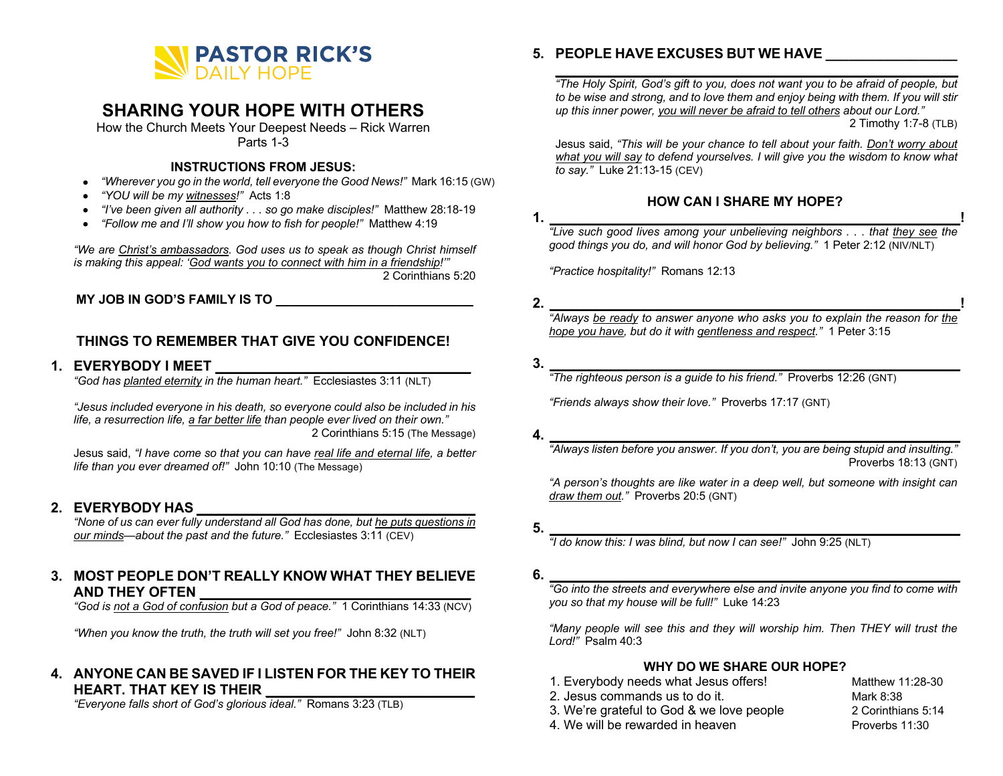

# **SHARING YOUR HOPE WITH OTHERS**

How the Church Meets Your Deepest Needs – Rick Warren Parts 1-3

#### **INSTRUCTIONS FROM JESUS:**

- *"Wherever you go in the world, tell everyone the Good News!"* Mark 16:15 (GW)
- *"YOU will be my witnesses!"* Acts 1:8
- *"I've been given all authority . . . so go make disciples!"* Matthew 28:18-19
- *"Follow me and I'll show you how to fish for people!"* Matthew 4:19

*"We are Christ's ambassadors. God uses us to speak as though Christ himself is making this appeal: 'God wants you to connect with him in a friendship!'"* 2 Corinthians 5:20

**MY JOB IN GOD'S FAMILY IS TO \_\_\_\_\_\_\_\_\_\_\_\_\_\_\_\_\_\_\_\_\_\_\_\_\_\_\_\_**

## **THINGS TO REMEMBER THAT GIVE YOU CONFIDENCE!**

## **1. EVERYBODY I MEET \_\_\_\_\_\_\_\_\_\_\_\_\_\_\_\_\_\_\_\_\_\_\_\_\_\_\_\_\_\_\_\_\_**

*"God has planted eternity in the human heart."* Ecclesiastes 3:11 (NLT)

*"Jesus included everyone in his death, so everyone could also be included in his life, a resurrection life, a far better life than people ever lived on their own."*  2 Corinthians 5:15 (The Message)

Jesus said, *"I have come so that you can have real life and eternal life, a better life than you ever dreamed of!"* John 10:10 (The Message)

## **2. EVERYBODY HAS \_\_\_\_\_\_\_\_\_\_\_\_\_\_\_\_\_\_\_\_\_\_\_\_\_\_\_\_\_\_\_\_\_\_\_\_**

*"None of us can ever fully understand all God has done, but he puts questions in our minds—about the past and the future."* Ecclesiastes 3:11 (CEV)

## **3. MOST PEOPLE DON'T REALLY KNOW WHAT THEY BELIEVE AND THEY OFTEN \_\_\_\_\_\_\_\_\_\_\_\_\_\_\_\_\_\_\_\_\_\_\_\_\_\_\_\_\_\_\_\_\_\_\_**

*"God is not a God of confusion but a God of peace."* 1 Corinthians 14:33 (NCV)

*"When you know the truth, the truth will set you free!"* John 8:32 (NLT)

## **4. ANYONE CAN BE SAVED IF I LISTEN FOR THE KEY TO THEIR HEART. THAT KEY IS THEIR \_\_\_\_\_\_\_\_\_\_\_\_\_\_\_\_\_\_\_\_\_\_\_\_\_\_\_**

*"Everyone falls short of God's glorious ideal."* Romans 3:23 (TLB)

## **5. PEOPLE HAVE EXCUSES BUT WE HAVE \_\_\_\_\_\_\_\_\_\_\_\_\_\_\_\_\_**

*"The Holy Spirit, God's gift to you, does not want you to be afraid of people, but to be wise and strong, and to love them and enjoy being with them. If you will stir up this inner power, you will never be afraid to tell others about our Lord."* 2 Timothy 1:7-8 (TLB)

**\_\_\_\_\_\_\_\_\_\_\_\_\_\_\_\_\_\_\_\_\_\_\_\_\_\_\_\_\_\_\_\_\_\_\_\_\_\_\_\_\_\_\_\_\_\_\_\_\_\_\_\_**

Jesus said, *"This will be your chance to tell about your faith. Don't worry about what you will say to defend yourselves. I will give you the wisdom to know what to say."* Luke 21:13-15 (CEV)

## **HOW CAN I SHARE MY HOPE?**

**1. \_\_\_\_\_\_\_\_\_\_\_\_\_\_\_\_\_\_\_\_\_\_\_\_\_\_\_\_\_\_\_\_\_\_\_\_\_\_\_\_\_\_\_\_\_\_\_\_\_\_\_\_\_!** *"Live such good lives among your unbelieving neighbors . . . that they see the good things you do, and will honor God by believing."* 1 Peter 2:12 (NIV/NLT)

*"Practice hospitality!"* Romans 12:13

**2. \_\_\_\_\_\_\_\_\_\_\_\_\_\_\_\_\_\_\_\_\_\_\_\_\_\_\_\_\_\_\_\_\_\_\_\_\_\_\_\_\_\_\_\_\_\_\_\_\_\_\_\_\_!**

*"Always be ready to answer anyone who asks you to explain the reason for the hope you have, but do it with gentleness and respect."* 1 Peter 3:15

**3. \_\_\_\_\_\_\_\_\_\_\_\_\_\_\_\_\_\_\_\_\_\_\_\_\_\_\_\_\_\_\_\_\_\_\_\_\_\_\_\_\_\_\_\_\_\_\_\_\_\_\_\_\_**

*"The righteous person is a guide to his friend."* Proverbs 12:26 (GNT)

*"Friends always show their love."* Proverbs 17:17 (GNT)

**4. \_\_\_\_\_\_\_\_\_\_\_\_\_\_\_\_\_\_\_\_\_\_\_\_\_\_\_\_\_\_\_\_\_\_\_\_\_\_\_\_\_\_\_\_\_\_\_\_\_\_\_\_\_**

*"Always listen before you answer. If you don't, you are being stupid and insulting."*  Proverbs 18:13 (GNT)

*"A person's thoughts are like water in a deep well, but someone with insight can draw them out."* Proverbs 20:5 (GNT)

*"I do know this: I was blind, but now I can see!"* John 9:25 (NLT)

**6.**  $\blacksquare$ 

*"Go into the streets and everywhere else and invite anyone you find to come with you so that my house will be full!"* Luke 14:23

*"Many people will see this and they will worship him. Then THEY will trust the Lord!"* Psalm 40:3

## **WHY DO WE SHARE OUR HOPE?**

- 1. Everybody needs what Jesus offers! Matthew 11:28-30 2. Jesus commands us to do it. Mark 8:38
- 3. We're grateful to God & we love people 2 Corinthians 5:14

4. We will be rewarded in heaven **Proverbs** 11:30

**<sup>5.</sup> \_\_\_\_\_\_\_\_\_\_\_\_\_\_\_\_\_\_\_\_\_\_\_\_\_\_\_\_\_\_\_\_\_\_\_\_\_\_\_\_\_\_\_\_\_\_\_\_\_\_\_\_\_**